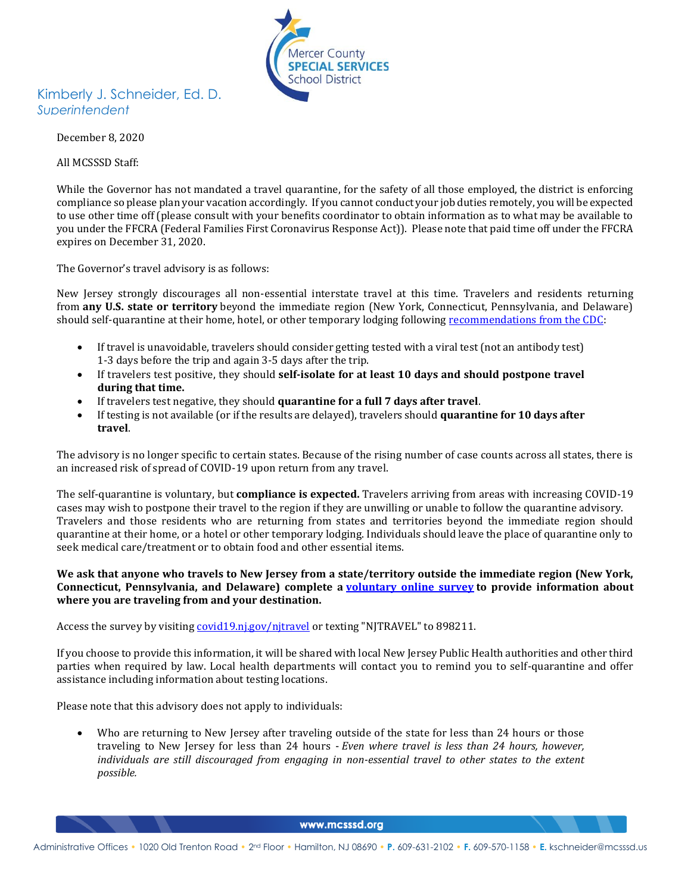

## Kimberly J. Schneider, Ed. D. *Superintendent*

December 8, 2020

All MCSSSD Staff:

While the Governor has not mandated a travel quarantine, for the safety of all those employed, the district is enforcing compliance so please plan your vacation accordingly. If you cannot conduct your job duties remotely, you will be expected to use other time off (please consult with your benefits coordinator to obtain information as to what may be available to you under the FFCRA (Federal Families First Coronavirus Response Act)). Please note that paid time off under the FFCRA expires on December 31, 2020.

The Governor's travel advisory is as follows:

New Jersey strongly discourages all non-essential interstate travel at this time. Travelers and residents returning from **any U.S. state or territory** beyond the immediate region (New York, Connecticut, Pennsylvania, and Delaware) should self-quarantine at their home, hotel, or other temporary lodging following [recommendations from the CDC:](https://www.cdc.gov/coronavirus/2019-ncov/travelers/travel-during-covid19.html)

- If travel is unavoidable, travelers should consider getting tested with a viral test (not an antibody test) 1-3 days before the trip and again 3-5 days after the trip.
- If travelers test positive, they should **self-isolate for at least 10 days and should postpone travel during that time.**
- If travelers test negative, they should **quarantine for a full 7 days after travel**.
- If testing is not available (or if the results are delayed), travelers should **quarantine for 10 days after travel**.

The advisory is no longer specific to certain states. Because of the rising number of case counts across all states, there is an increased risk of spread of COVID-19 upon return from any travel.

The self-quarantine is voluntary, but **compliance is expected.** Travelers arriving from areas with increasing COVID-19 cases may wish to postpone their travel to the region if they are unwilling or unable to follow the quarantine advisory. Travelers and those residents who are returning from states and territories beyond the immediate region should quarantine at their home, or a hotel or other temporary lodging. Individuals should leave the place of quarantine only to seek medical care/treatment or to obtain food and other essential items.

## **We ask that anyone who travels to New Jersey from a state/territory outside the immediate region (New York, Connecticut, Pennsylvania, and Delaware) complete a [voluntary online survey](https://covid19.nj.gov/njtravel) to provide information about where you are traveling from and your destination.**

Access the survey by visiting [covid19.nj.gov/njtravel](https://covid19.nj.gov/njtravel) or texting "NJTRAVEL" to 898211.

If you choose to provide this information, it will be shared with local New Jersey Public Health authorities and other third parties when required by law. Local health departments will contact you to remind you to self-quarantine and offer assistance including information about testing locations.

Please note that this advisory does not apply to individuals:

• Who are returning to New Jersey after traveling outside of the state for less than 24 hours or those traveling to New Jersey for less than 24 hours - *Even where travel is less than 24 hours, however, individuals are still discouraged from engaging in non-essential travel to other states to the extent possible.*

www.mcsssd.org